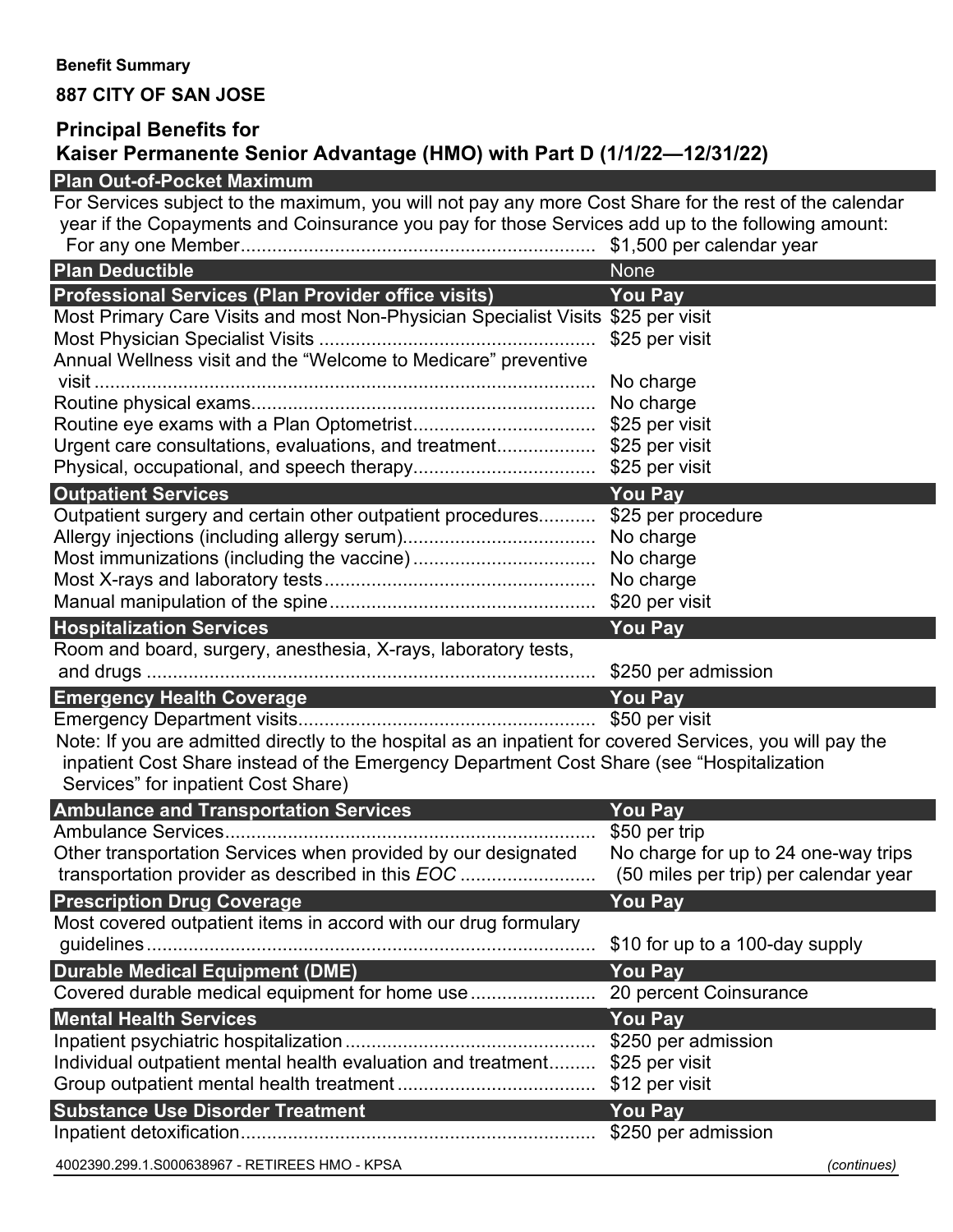### **Benefit Summary**

## **887 CITY OF SAN JOSE**

# **Principal Benefits for Kaiser Permanente Senior Advantage (HMO) with Part D (1/1/22—12/31/22)**

## **Plan Out-of-Pocket Maximum** For Services subject to the maximum, you will not pay any more Cost Share for the rest of the calendar year if the Copayments and Coinsurance you pay for those Services add up to the following amount: For any one Member.................................................................... \$1,500 per calendar year **Plan Deductible None According to the United States of the United States of the United States of the United States of the United States of the United States of the United States of the United States of the United States o Professional Services (Plan Provider office visits) You Pay** Most Primary Care Visits and most Non-Physician Specialist Visits \$25 per visit Most Physician Specialist Visits ..................................................... \$25 per visit Annual Wellness visit and the "Welcome to Medicare" preventive visit ................................................................................................ No charge Routine physical exams.................................................................. No charge Routine eye exams with a Plan Optometrist................................... \$25 per visit Urgent care consultations, evaluations, and treatment................... \$25 per visit Physical, occupational, and speech therapy................................... \$25 per visit **Outpatient Services** *You Pay* Outpatient surgery and certain other outpatient procedures........... \$25 per procedure Allergy injections (including allergy serum)..................................... No charge Most immunizations (including the vaccine)................................... No charge Most X-rays and laboratory tests.................................................... No charge Manual manipulation of the spine................................................... \$20 per visit **Hospitalization Services You Pay** Room and board, surgery, anesthesia, X-rays, laboratory tests, and drugs ...................................................................................... \$250 per admission **Emergency Health Coverage You Pay** Emergency Department visits......................................................... \$50 per visit Note: If you are admitted directly to the hospital as an inpatient for covered Services, you will pay the inpatient Cost Share instead of the Emergency Department Cost Share (see "Hospitalization Services" for inpatient Cost Share) **Ambulance and Transportation Services You Pay** Ambulance Services....................................................................... \$50 per trip Other transportation Services when provided by our designated transportation provider as described in this *EOC* .......................... No charge for up to 24 one-way trips (50 miles per trip) per calendar year **Prescription Drug Coverage Access 20 You Pay** Most covered outpatient items in accord with our drug formulary guidelines...................................................................................... \$10 for up to a 100-day supply **Durable Medical Equipment (DME) You Pay** Covered durable medical equipment for home use........................ 20 percent Coinsurance **Mental Health Services** *You Pay* Inpatient psychiatric hospitalization................................................ \$250 per admission Individual outpatient mental health evaluation and treatment......... \$25 per visit Group outpatient mental health treatment ...................................... \$12 per visit **Substance Use Disorder Treatment You Pay** Inpatient detoxification.................................................................... \$250 per admission

4002390.299.1.S000638967 - RETIREES HMO - KPSA *(continues)*